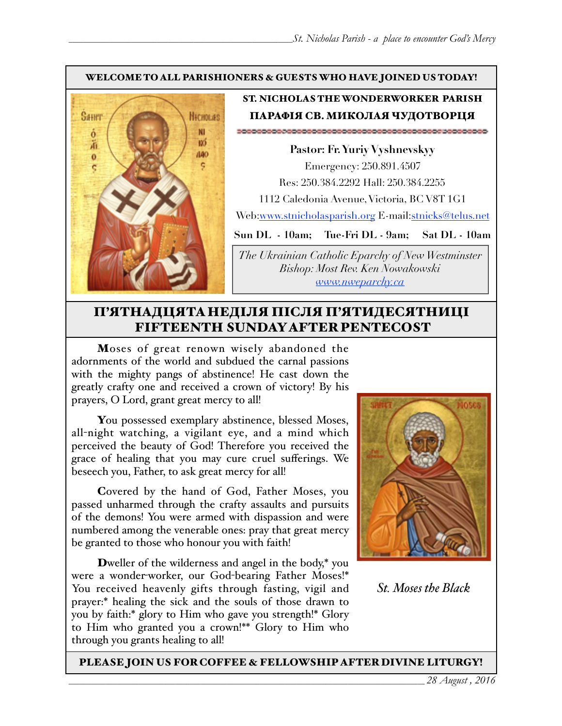#### WELCOME TO ALL PARISHIONERS & GUESTS WHO HAVE JOINED US TODAY!



#### ST. NICHOLAS THE WONDERWORKER PARISH ПАРАФІЯ СВ. МИКОЛАЯ ЧУДОТВОРЦЯ

**Pastor: Fr. Yuriy Vyshnevskyy** Emergency: 250.891.4507 Res: 250.384.2292 Hall: 250.384.2255 1112 Caledonia Avenue, Victoria, BC V8T 1G1 Web:[www.stnicholasparish.org](http://www.stnicholasparish.org) E-mail[:stnicks@telus.net](mailto:stnicks@telus.net)

**Sun DL - 10am; Tue-Fri DL - 9am; Sat DL - 10am**

*The Ukrainian Catholic Eparchy of New Westminster Bishop: Most Rev. Ken Nowakowski [www.nweparchy.ca](http://www.nweparchy.ca)*

### П'ЯТНАДЦЯТАНЕДІЛЯ ПІСЛЯ П'ЯТИДЕСЯТНИЦІ FIFTEENTH SUNDAY AFTER PENTECOST

Moses of great renown wisely abandoned the adornments of the world and subdued the carnal passions with the mighty pangs of abstinence! He cast down the greatly crafty one and received a crown of victory! By his prayers, O Lord, grant great mercy to all!

You possessed exemplary abstinence, blessed Moses, all-night watching, a vigilant eye, and a mind which perceived the beauty of God! Therefore you received the grace of healing that you may cure cruel sufferings. We beseech you, Father, to ask great mercy for all!

Covered by the hand of God, Father Moses, you passed unharmed through the crafty assaults and pursuits of the demons! You were armed with dispassion and were numbered among the venerable ones: pray that great mercy be granted to those who honour you with faith!

Dweller of the wilderness and angel in the body,\* you were a wonder-worker, our God-bearing Father Moses!\* You received heavenly gifts through fasting, vigil and prayer:\* healing the sick and the souls of those drawn to you by faith:\* glory to Him who gave you strength!\* Glory to Him who granted you a crown!\*\* Glory to Him who through you grants healing to all!



*St. Moses the Black*

#### PLEASE JOIN US FOR COFFEE & FELLOWSHIP AFTER DIVINE LITURGY!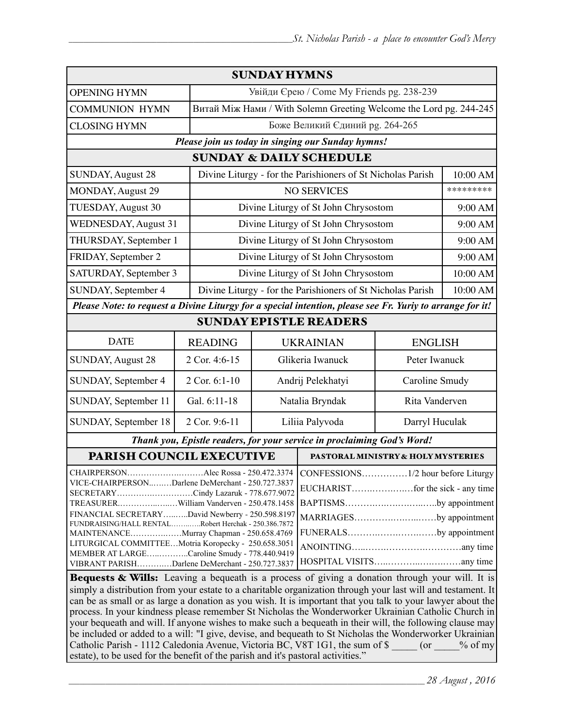| <b>SUNDAY HYMNS</b>                                                                                                                                                                                                                                                                                                                                                                                                                                                                                                                                                                                                                                                                                                                                 |                |                                                                    |                                    |                |           |  |
|-----------------------------------------------------------------------------------------------------------------------------------------------------------------------------------------------------------------------------------------------------------------------------------------------------------------------------------------------------------------------------------------------------------------------------------------------------------------------------------------------------------------------------------------------------------------------------------------------------------------------------------------------------------------------------------------------------------------------------------------------------|----------------|--------------------------------------------------------------------|------------------------------------|----------------|-----------|--|
| <b>OPENING HYMN</b>                                                                                                                                                                                                                                                                                                                                                                                                                                                                                                                                                                                                                                                                                                                                 |                | Увійди Єрею / Come My Friends pg. 238-239                          |                                    |                |           |  |
| <b>COMMUNION HYMN</b>                                                                                                                                                                                                                                                                                                                                                                                                                                                                                                                                                                                                                                                                                                                               |                | Витай Між Нами / With Solemn Greeting Welcome the Lord pg. 244-245 |                                    |                |           |  |
| <b>CLOSING HYMN</b>                                                                                                                                                                                                                                                                                                                                                                                                                                                                                                                                                                                                                                                                                                                                 |                | Боже Великий Єдиний рg. 264-265                                    |                                    |                |           |  |
| Please join us today in singing our Sunday hymns!                                                                                                                                                                                                                                                                                                                                                                                                                                                                                                                                                                                                                                                                                                   |                |                                                                    |                                    |                |           |  |
| <b>SUNDAY &amp; DAILY SCHEDULE</b>                                                                                                                                                                                                                                                                                                                                                                                                                                                                                                                                                                                                                                                                                                                  |                |                                                                    |                                    |                |           |  |
| <b>SUNDAY, August 28</b>                                                                                                                                                                                                                                                                                                                                                                                                                                                                                                                                                                                                                                                                                                                            |                | Divine Liturgy - for the Parishioners of St Nicholas Parish        |                                    |                |           |  |
| <b>MONDAY, August 29</b>                                                                                                                                                                                                                                                                                                                                                                                                                                                                                                                                                                                                                                                                                                                            |                | <b>NO SERVICES</b>                                                 |                                    |                | ********* |  |
| TUESDAY, August 30                                                                                                                                                                                                                                                                                                                                                                                                                                                                                                                                                                                                                                                                                                                                  |                | Divine Liturgy of St John Chrysostom                               |                                    |                | 9:00 AM   |  |
| <b>WEDNESDAY, August 31</b>                                                                                                                                                                                                                                                                                                                                                                                                                                                                                                                                                                                                                                                                                                                         |                | Divine Liturgy of St John Chrysostom                               |                                    |                | 9:00 AM   |  |
| THURSDAY, September 1                                                                                                                                                                                                                                                                                                                                                                                                                                                                                                                                                                                                                                                                                                                               |                | Divine Liturgy of St John Chrysostom                               |                                    |                | 9:00 AM   |  |
| FRIDAY, September 2                                                                                                                                                                                                                                                                                                                                                                                                                                                                                                                                                                                                                                                                                                                                 |                | Divine Liturgy of St John Chrysostom                               |                                    |                |           |  |
| SATURDAY, September 3                                                                                                                                                                                                                                                                                                                                                                                                                                                                                                                                                                                                                                                                                                                               |                | Divine Liturgy of St John Chrysostom                               |                                    |                | 10:00 AM  |  |
| SUNDAY, September 4                                                                                                                                                                                                                                                                                                                                                                                                                                                                                                                                                                                                                                                                                                                                 |                | Divine Liturgy - for the Parishioners of St Nicholas Parish        |                                    |                |           |  |
| Please Note: to request a Divine Liturgy for a special intention, please see Fr. Yuriy to arrange for it!                                                                                                                                                                                                                                                                                                                                                                                                                                                                                                                                                                                                                                           |                |                                                                    |                                    |                |           |  |
| <b>SUNDAY EPISTLE READERS</b>                                                                                                                                                                                                                                                                                                                                                                                                                                                                                                                                                                                                                                                                                                                       |                |                                                                    |                                    |                |           |  |
| <b>DATE</b>                                                                                                                                                                                                                                                                                                                                                                                                                                                                                                                                                                                                                                                                                                                                         | <b>READING</b> | <b>UKRAINIAN</b>                                                   |                                    | <b>ENGLISH</b> |           |  |
| <b>SUNDAY, August 28</b>                                                                                                                                                                                                                                                                                                                                                                                                                                                                                                                                                                                                                                                                                                                            | 2 Cor. 4:6-15  | Glikeria Iwanuck                                                   |                                    | Peter Iwanuck  |           |  |
| SUNDAY, September 4                                                                                                                                                                                                                                                                                                                                                                                                                                                                                                                                                                                                                                                                                                                                 | 2 Cor. 6:1-10  | Andrij Pelekhatyi                                                  |                                    | Caroline Smudy |           |  |
| SUNDAY, September 11                                                                                                                                                                                                                                                                                                                                                                                                                                                                                                                                                                                                                                                                                                                                | Gal. 6:11-18   | Natalia Bryndak                                                    |                                    | Rita Vanderven |           |  |
| SUNDAY, September 18                                                                                                                                                                                                                                                                                                                                                                                                                                                                                                                                                                                                                                                                                                                                | 2 Cor. 9:6-11  | Liliia Palyvoda                                                    |                                    | Darryl Huculak |           |  |
| Thank you, Epistle readers, for your service in proclaiming God's Word!                                                                                                                                                                                                                                                                                                                                                                                                                                                                                                                                                                                                                                                                             |                |                                                                    |                                    |                |           |  |
| PARISH COUNCIL EXECUTIVE                                                                                                                                                                                                                                                                                                                                                                                                                                                                                                                                                                                                                                                                                                                            |                |                                                                    | PASTORAL MINISTRY & HOLY MYSTERIES |                |           |  |
| CHAIRPERSONAlec Rossa - 250.472.3374   CONFESSIONS<br>$\ldots \ldots \ldots 1/2$ hour before Liturgy<br>VICE-CHAIRPERSONDarlene DeMerchant - 250.727.3837<br>SECRETARYCindy Lazaruk - 778.677.9072<br>BAPTISMSby appointment<br>TREASURERWilliam Vanderven - 250.478.1458<br>FINANCIAL SECRETARYDavid Newberry - 250.598.8197<br>MARRIAGESby appointment<br>FUNDRAISING/HALL RENTALRobert Herchak - 250.386.7872<br>FUNERALSby appointment<br>MAINTENANCEMurray Chapman - 250.658.4769<br>LITURGICAL COMMITTEEMotria Koropecky - 250.658.3051<br>MEMBER AT LARGECaroline Smudy - 778.440.9419<br>VIBRANT PARISHDarlene DeMerchant - 250.727.3837<br>Bequests & Wills: Leaving a bequeath is a process of giving a donation through your will. It is |                |                                                                    |                                    |                |           |  |
| simply a distribution from your estate to a charitable organization through your last will and testament. It<br>can be as small or as large a donation as you wish. It is important that you talk to your lawyer about the                                                                                                                                                                                                                                                                                                                                                                                                                                                                                                                          |                |                                                                    |                                    |                |           |  |

process. In your kindness please remember St Nicholas the Wonderworker Ukrainian Catholic Church in your bequeath and will. If anyone wishes to make such a bequeath in their will, the following clause may be included or added to a will: "I give, devise, and bequeath to St Nicholas the Wonderworker Ukrainian Catholic Parish - 1112 Caledonia Avenue, Victoria BC, V8T 1G1, the sum of \$ \_\_\_\_\_ (or \_\_\_\_% of my estate), to be used for the benefit of the parish and it's pastoral activities."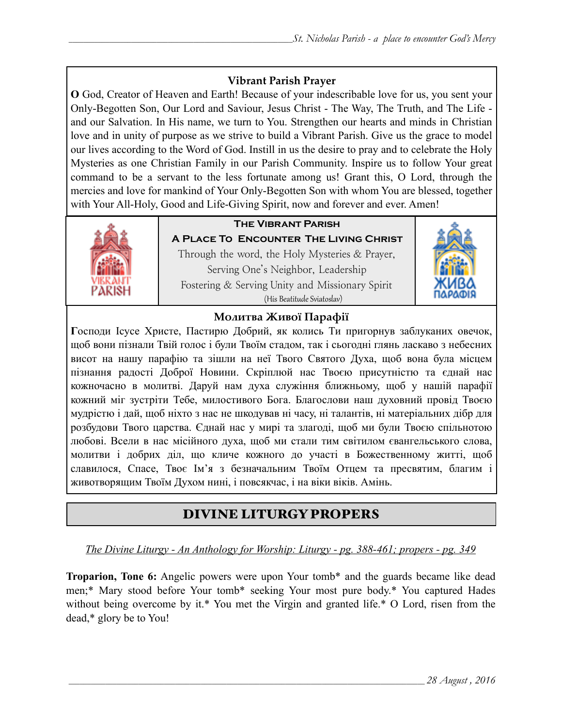#### **Vibrant Parish Prayer**

**O** God, Creator of Heaven and Earth! Because of your indescribable love for us, you sent your Only-Begotten Son, Our Lord and Saviour, Jesus Christ - The Way, The Truth, and The Life and our Salvation. In His name, we turn to You. Strengthen our hearts and minds in Christian love and in unity of purpose as we strive to build a Vibrant Parish. Give us the grace to model our lives according to the Word of God. Instill in us the desire to pray and to celebrate the Holy Mysteries as one Christian Family in our Parish Community. Inspire us to follow Your great command to be a servant to the less fortunate among us! Grant this, O Lord, through the mercies and love for mankind of Your Only-Begotten Son with whom You are blessed, together with Your All-Holy, Good and Life-Giving Spirit, now and forever and ever. Amen!



### **The Vibrant Parish**

**A Place To Encounter The Living Christ** Through the word, the Holy Mysteries & Prayer, Serving One's Neighbor, Leadership Fostering & Serving Unity and Missionary Spirit (His Beatitude Sviatoslav)



#### **Молитва Живої Парафії**

**Г**осподи Ісусе Христе, Пастирю Добрий, як колись Ти пригорнув заблуканих овечок, щоб вони пізнали Твій голос і були Твоїм стадом, так і сьогодні глянь ласкаво з небесних висот на нашу парафію та зішли на неї Твого Святого Духа, щоб вона була місцем пізнання радості Доброї Новини. Скріплюй нас Твоєю присутністю та єднай нас кожночасно в молитві. Даруй нам духа служіння ближньому, щоб у нашій парафії кожний міг зустріти Тебе, милостивого Бога. Благослови наш духовний провід Твоєю мудрістю і дай, щоб ніхто з нас не шкодував ні часу, ні талантів, ні матеріальних дібр для розбудови Твого царства. Єднай нас у мирі та злагоді, щоб ми були Твоєю спільнотою любові. Всели в нас місійного духа, щоб ми стали тим світилом євангельського слова, молитви і добрих діл, що кличе кожного до участі в Божественному житті, щоб славилося, Спасе, Твоє Ім'я з безначальним Твоїм Отцем та пресвятим, благим і животворящим Твоїм Духом нині, і повсякчас, і на віки віків. Амінь.

# DIVINE LITURGY PROPERS

*The Divine Liturgy - An Anthology for Worship: Liturgy - pg. 388-461; propers - pg. 349* 

**Troparion, Tone 6:** Angelic powers were upon Your tomb\* and the guards became like dead men;\* Mary stood before Your tomb\* seeking Your most pure body.\* You captured Hades without being overcome by it.\* You met the Virgin and granted life.\* O Lord, risen from the dead,\* glory be to You!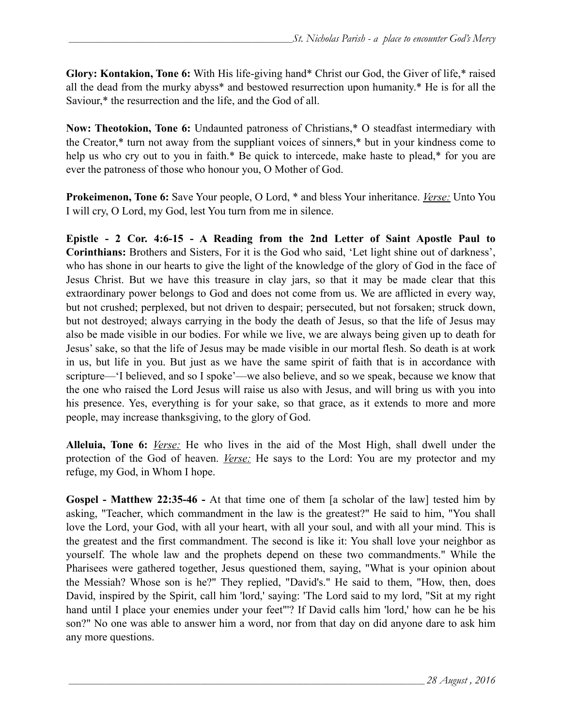**Glory: Kontakion, Tone 6:** With His life-giving hand\* Christ our God, the Giver of life,\* raised all the dead from the murky abyss\* and bestowed resurrection upon humanity.\* He is for all the Saviour,\* the resurrection and the life, and the God of all.

**Now: Theotokion, Tone 6:** Undaunted patroness of Christians,\* O steadfast intermediary with the Creator,\* turn not away from the suppliant voices of sinners,\* but in your kindness come to help us who cry out to you in faith.\* Be quick to intercede, make haste to plead,\* for you are ever the patroness of those who honour you, O Mother of God.

**Prokeimenon, Tone 6:** Save Your people, O Lord, \* and bless Your inheritance. *Verse:* Unto You I will cry, O Lord, my God, lest You turn from me in silence.

**Epistle - 2 Cor. 4:6-15 - A Reading from the 2nd Letter of Saint Apostle Paul to Corinthians:** Brothers and Sisters, For it is the God who said, 'Let light shine out of darkness', who has shone in our hearts to give the light of the knowledge of the glory of God in the face of Jesus Christ. But we have this treasure in clay jars, so that it may be made clear that this extraordinary power belongs to God and does not come from us. We are afflicted in every way, but not crushed; perplexed, but not driven to despair; persecuted, but not forsaken; struck down, but not destroyed; always carrying in the body the death of Jesus, so that the life of Jesus may also be made visible in our bodies. For while we live, we are always being given up to death for Jesus' sake, so that the life of Jesus may be made visible in our mortal flesh. So death is at work in us, but life in you. But just as we have the same spirit of faith that is in accordance with scripture—'I believed, and so I spoke'—we also believe, and so we speak, because we know that the one who raised the Lord Jesus will raise us also with Jesus, and will bring us with you into his presence. Yes, everything is for your sake, so that grace, as it extends to more and more people, may increase thanksgiving, to the glory of God.

**Alleluia, Tone 6:** *Verse:* He who lives in the aid of the Most High, shall dwell under the protection of the God of heaven. *Verse:* He says to the Lord: You are my protector and my refuge, my God, in Whom I hope.

**Gospel - Matthew 22:35-46 -** At that time one of them [a scholar of the law] tested him by asking, "Teacher, which commandment in the law is the greatest?" He said to him, "You shall love the Lord, your God, with all your heart, with all your soul, and with all your mind. This is the greatest and the first commandment. The second is like it: You shall love your neighbor as yourself. The whole law and the prophets depend on these two commandments." While the Pharisees were gathered together, Jesus questioned them, saying, "What is your opinion about the Messiah? Whose son is he?" They replied, "David's." He said to them, "How, then, does David, inspired by the Spirit, call him 'lord,' saying: 'The Lord said to my lord, "Sit at my right hand until I place your enemies under your feet"'? If David calls him 'lord,' how can he be his son?" No one was able to answer him a word, nor from that day on did anyone dare to ask him any more questions.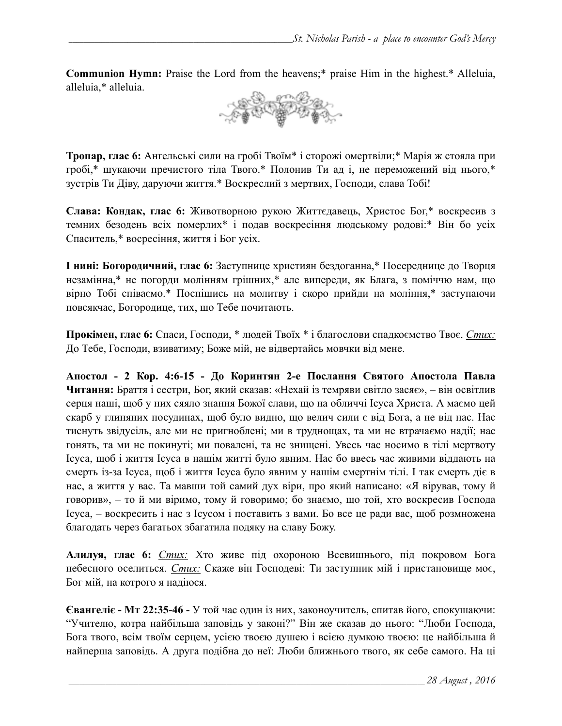**Communion Hymn:** Praise the Lord from the heavens;\* praise Him in the highest.\* Alleluia, alleluia,\* alleluia.



**Тропар, глас 6:** Ангельські сили на гробі Твоїм\* і сторожі омертвіли;\* Марія ж стояла при гробі,\* шукаючи пречистого тіла Твого.\* Полонив Ти ад і, не переможений від нього,\* зустрів Ти Діву, даруючи життя.\* Воскреслий з мертвих, Господи, слава Тобі!

**Слава: Кондак, глас 6:** Животворною рукою Життєдавець, Христос Бог,\* воскресив з темних безодень всіх померлих\* і подав воскресіння людському родові:\* Він бо усіх Спаситель,\* восресіння, життя і Бог усіх.

**І нині: Богородичний, глас 6:** Заступнице християн бездоганна,\* Посереднице до Творця незамінна,\* не погорди молінням грішних,\* але випереди, як Блага, з поміччю нам, що вірно Тобі співаємо.\* Поспішись на молитву і скоро прийди на моління,\* заступаючи повсякчас, Богородице, тих, що Тебе почитають.

**Прокімен, глас 6:** Спаси, Господи, \* людей Твоїх \* і благослови спадкоємство Твоє. *Стих:*  До Тебе, Господи, взиватиму; Боже мій, не відвертайсь мовчки від мене.

**Апостол - 2 Кор. 4:6-15 - До Коринтян 2-e Послання Святого Апостола Павла Читання:** Браття і сестри, Бог, який сказав: «Нехай із темряви світло засяє», – він освітлив серця наші, щоб у них сяяло знання Божої слави, що на обличчі Ісуса Христа. А маємо цей скарб у глиняних посудинах, щоб було видно, що велич сили є від Бога, а не від нас. Нас тиснуть звідусіль, але ми не пригноблені; ми в труднощах, та ми не втрачаємо надії; нас гонять, та ми не покинуті; ми повалені, та не знищені. Увесь час носимо в тілі мертвоту Ісуса, щоб і життя Ісуса в нашім житті було явним. Нас бо ввесь час живими віддають на смерть із-за Ісуса, щоб і життя Ісуса було явним у нашім смертнім тілі. І так смерть діє в нас, а життя у вас. Та мавши той самий дух віри, про який написано: «Я вірував, тому й говорив», – то й ми віримо, тому й говоримо; бо знаємо, що той, хто воскресив Господа Ісуса, – воскресить і нас з Ісусом і поставить з вами. Бо все це ради вас, щоб розмножена благодать через багатьох збагатила подяку на славу Божу.

**Алилуя, глас 6:** *Стих:* Хто живе під охороною Всевишнього, під покровом Бога небесного оселиться. *Стих:* Скаже він Господеві: Ти заступник мій і пристановище моє, Бог мій, на котрого я надіюся.

**Євангеліє - Мт 22:35-46 -** У той час один із них, законоучитель, спитав його, спокушаючи: "Учителю, котра найбільша заповідь у законі?" Він же сказав до нього: "Люби Господа, Бога твого, всім твоїм серцем, усією твоєю душею і всією думкою твоєю: це найбільша й найперша заповідь. А друга подібна до неї: Люби ближнього твого, як себе самого. На ці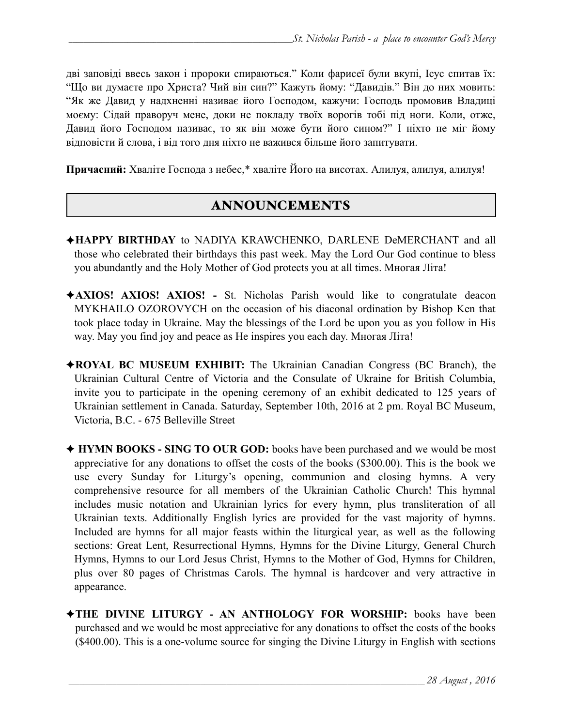дві заповіді ввесь закон і пророки спираються." Коли фарисеї були вкупі, Ісус спитав їх: "Що ви думаєте про Христа? Чий він син?" Кажуть йому: "Давидів." Він до них мовить: "Як же Давид у надхненні називає його Господом, кажучи: Господь промовив Владиці моєму: Сідай праворуч мене, доки не покладу твоїх ворогів тобі під ноги. Коли, отже, Давид його Господом називає, то як він може бути його сином?" І ніхто не міг йому відповісти й слова, і від того дня ніхто не важився більше його запитувати.

**Причасний:** Хваліте Господа з небес,\* хваліте Його на висотах. Алилуя, алилуя, алилуя!

#### ANNOUNCEMENTS

- ✦**HAPPY BIRTHDAY** to NADIYA KRAWCHENKO, DARLENE DeMERCHANT and all those who celebrated their birthdays this past week. May the Lord Our God continue to bless you abundantly and the Holy Mother of God protects you at all times. Многая Літа!
- ✦**AXIOS! AXIOS! AXIOS!** St. Nicholas Parish would like to congratulate deacon MYKHAILO OZOROVYCH on the occasion of his diaconal ordination by Bishop Ken that took place today in Ukraine. May the blessings of the Lord be upon you as you follow in His way. May you find joy and peace as He inspires you each day. Многая Літа!
- ✦**ROYAL BC MUSEUM EXHIBIT:** The Ukrainian Canadian Congress (BC Branch), the Ukrainian Cultural Centre of Victoria and the Consulate of Ukraine for British Columbia, invite you to participate in the opening ceremony of an exhibit dedicated to 125 years of Ukrainian settlement in Canada. Saturday, September 10th, 2016 at 2 pm. Royal BC Museum, Victoria, B.C. - 675 Belleville Street
- ✦ **HYMN BOOKS SING TO OUR GOD:** books have been purchased and we would be most appreciative for any donations to offset the costs of the books (\$300.00). This is the book we use every Sunday for Liturgy's opening, communion and closing hymns. A very comprehensive resource for all members of the Ukrainian Catholic Church! This hymnal includes music notation and Ukrainian lyrics for every hymn, plus transliteration of all Ukrainian texts. Additionally English lyrics are provided for the vast majority of hymns. Included are hymns for all major feasts within the liturgical year, as well as the following sections: Great Lent, Resurrectional Hymns, Hymns for the Divine Liturgy, General Church Hymns, Hymns to our Lord Jesus Christ, Hymns to the Mother of God, Hymns for Children, plus over 80 pages of Christmas Carols. The hymnal is hardcover and very attractive in appearance.
- ✦**THE DIVINE LITURGY AN ANTHOLOGY FOR WORSHIP:** books have been purchased and we would be most appreciative for any donations to offset the costs of the books (\$400.00). This is a one-volume source for singing the Divine Liturgy in English with sections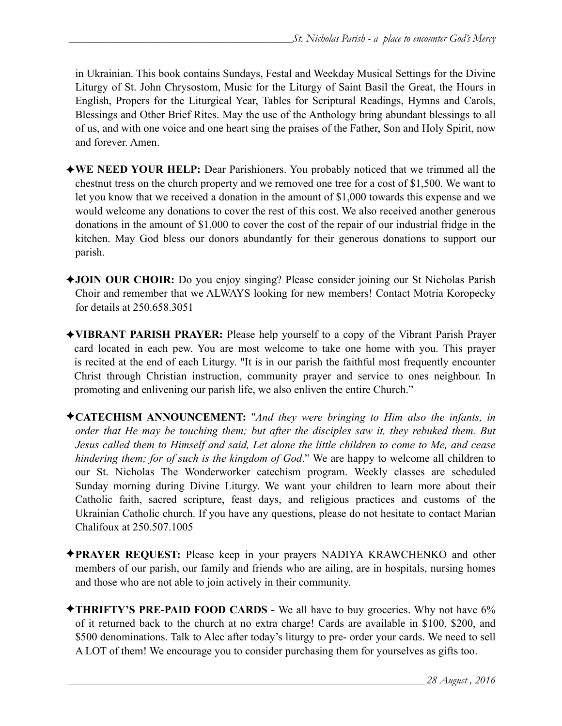in Ukrainian. This book contains Sundays, Festal and Weekday Musical Settings for the Divine Liturgy of St. John Chrysostom, Music for the Liturgy of Saint Basil the Great, the Hours in English, Propers for the Liturgical Year, Tables for Scriptural Readings, Hymns and Carols, Blessings and Other Brief Rites. May the use of the Anthology bring abundant blessings to all of us, and with one voice and one heart sing the praises of the Father, Son and Holy Spirit, now and forever. Amen.

- ✦**WE NEED YOUR HELP:** Dear Parishioners. You probably noticed that we trimmed all the chestnut tress on the church property and we removed one tree for a cost of \$1,500. We want to let you know that we received a donation in the amount of \$1,000 towards this expense and we would welcome any donations to cover the rest of this cost. We also received another generous donations in the amount of \$1,000 to cover the cost of the repair of our industrial fridge in the kitchen. May God bless our donors abundantly for their generous donations to support our parish.
- ✦**JOIN OUR CHOIR:** Do you enjoy singing? Please consider joining our St Nicholas Parish Choir and remember that we ALWAYS looking for new members! Contact Motria Koropecky for details at 250.658.3051
- ✦**VIBRANT PARISH PRAYER:** Please help yourself to a copy of the Vibrant Parish Prayer card located in each pew. You are most welcome to take one home with you. This prayer is recited at the end of each Liturgy. "It is in our parish the faithful most frequently encounter Christ through Christian instruction, community prayer and service to ones neighbour. In promoting and enlivening our parish life, we also enliven the entire Church."
- ✦**CATECHISM ANNOUNCEMENT:** "*And they were bringing to Him also the infants, in order that He may be touching them; but after the disciples saw it, they rebuked them. But Jesus called them to Himself and said, Let alone the little children to come to Me, and cease hindering them; for of such is the kingdom of God*." We are happy to welcome all children to our St. Nicholas The Wonderworker catechism program. Weekly classes are scheduled Sunday morning during Divine Liturgy. We want your children to learn more about their Catholic faith, sacred scripture, feast days, and religious practices and customs of the Ukrainian Catholic church. If you have any questions, please do not hesitate to contact Marian Chalifoux at 250.507.1005
- ✦**PRAYER REQUEST:** Please keep in your prayers NADIYA KRAWCHENKO and other members of our parish, our family and friends who are ailing, are in hospitals, nursing homes and those who are not able to join actively in their community.
- ✦**THRIFTY'S PRE-PAID FOOD CARDS** We all have to buy groceries. Why not have 6% of it returned back to the church at no extra charge! Cards are available in \$100, \$200, and \$500 denominations. Talk to Alec after today's liturgy to pre- order your cards. We need to sell A LOT of them! We encourage you to consider purchasing them for yourselves as gifts too.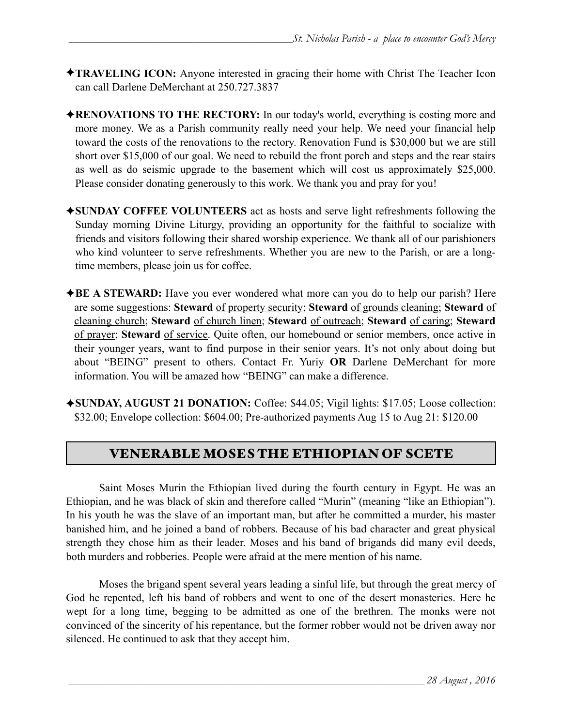- ✦**TRAVELING ICON:** Anyone interested in gracing their home with Christ The Teacher Icon can call Darlene DeMerchant at 250.727.3837
- ✦**RENOVATIONS TO THE RECTORY:** In our today's world, everything is costing more and more money. We as a Parish community really need your help. We need your financial help toward the costs of the renovations to the rectory. Renovation Fund is \$30,000 but we are still short over \$15,000 of our goal. We need to rebuild the front porch and steps and the rear stairs as well as do seismic upgrade to the basement which will cost us approximately \$25,000. Please consider donating generously to this work. We thank you and pray for you!
- ✦**SUNDAY COFFEE VOLUNTEERS** act as hosts and serve light refreshments following the Sunday morning Divine Liturgy, providing an opportunity for the faithful to socialize with friends and visitors following their shared worship experience. We thank all of our parishioners who kind volunteer to serve refreshments. Whether you are new to the Parish, or are a longtime members, please join us for coffee.
- ✦**BE A STEWARD:** Have you ever wondered what more can you do to help our parish? Here are some suggestions: **Steward** of property security; **Steward** of grounds cleaning; **Steward** of cleaning church; **Steward** of church linen; **Steward** of outreach; **Steward** of caring; **Steward** of prayer; **Steward** of service. Quite often, our homebound or senior members, once active in their younger years, want to find purpose in their senior years. It's not only about doing but about "BEING" present to others. Contact Fr. Yuriy **OR** Darlene DeMerchant for more information. You will be amazed how "BEING" can make a difference.
- ✦**SUNDAY, AUGUST 21 DONATION:** Coffee: \$44.05; Vigil lights: \$17.05; Loose collection: \$32.00; Envelope collection: \$604.00; Pre-authorized payments Aug 15 to Aug 21: \$120.00

# VENERABLE MOSES THE ETHIOPIAN OF SCETE

 Saint Moses Murin the Ethiopian lived during the fourth century in Egypt. He was an Ethiopian, and he was black of skin and therefore called "Murin" (meaning "like an Ethiopian"). In his youth he was the slave of an important man, but after he committed a murder, his master banished him, and he joined a band of robbers. Because of his bad character and great physical strength they chose him as their leader. Moses and his band of brigands did many evil deeds, both murders and robberies. People were afraid at the mere mention of his name.

 Moses the brigand spent several years leading a sinful life, but through the great mercy of God he repented, left his band of robbers and went to one of the desert monasteries. Here he wept for a long time, begging to be admitted as one of the brethren. The monks were not convinced of the sincerity of his repentance, but the former robber would not be driven away nor silenced. He continued to ask that they accept him.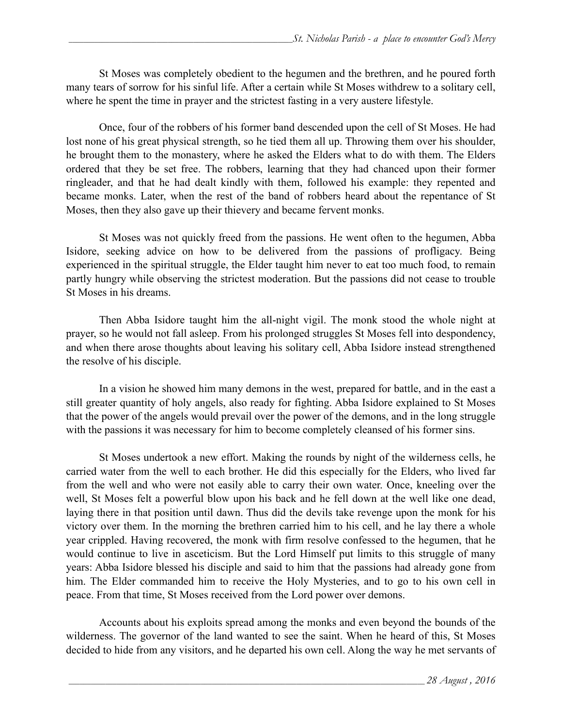St Moses was completely obedient to the hegumen and the brethren, and he poured forth many tears of sorrow for his sinful life. After a certain while St Moses withdrew to a solitary cell, where he spent the time in prayer and the strictest fasting in a very austere lifestyle.

Once, four of the robbers of his former band descended upon the cell of St Moses. He had lost none of his great physical strength, so he tied them all up. Throwing them over his shoulder, he brought them to the monastery, where he asked the Elders what to do with them. The Elders ordered that they be set free. The robbers, learning that they had chanced upon their former ringleader, and that he had dealt kindly with them, followed his example: they repented and became monks. Later, when the rest of the band of robbers heard about the repentance of St Moses, then they also gave up their thievery and became fervent monks.

 St Moses was not quickly freed from the passions. He went often to the hegumen, Abba Isidore, seeking advice on how to be delivered from the passions of profligacy. Being experienced in the spiritual struggle, the Elder taught him never to eat too much food, to remain partly hungry while observing the strictest moderation. But the passions did not cease to trouble St Moses in his dreams.

Then Abba Isidore taught him the all-night vigil. The monk stood the whole night at prayer, so he would not fall asleep. From his prolonged struggles St Moses fell into despondency, and when there arose thoughts about leaving his solitary cell, Abba Isidore instead strengthened the resolve of his disciple.

In a vision he showed him many demons in the west, prepared for battle, and in the east a still greater quantity of holy angels, also ready for fighting. Abba Isidore explained to St Moses that the power of the angels would prevail over the power of the demons, and in the long struggle with the passions it was necessary for him to become completely cleansed of his former sins.

 St Moses undertook a new effort. Making the rounds by night of the wilderness cells, he carried water from the well to each brother. He did this especially for the Elders, who lived far from the well and who were not easily able to carry their own water. Once, kneeling over the well, St Moses felt a powerful blow upon his back and he fell down at the well like one dead, laying there in that position until dawn. Thus did the devils take revenge upon the monk for his victory over them. In the morning the brethren carried him to his cell, and he lay there a whole year crippled. Having recovered, the monk with firm resolve confessed to the hegumen, that he would continue to live in asceticism. But the Lord Himself put limits to this struggle of many years: Abba Isidore blessed his disciple and said to him that the passions had already gone from him. The Elder commanded him to receive the Holy Mysteries, and to go to his own cell in peace. From that time, St Moses received from the Lord power over demons.

Accounts about his exploits spread among the monks and even beyond the bounds of the wilderness. The governor of the land wanted to see the saint. When he heard of this, St Moses decided to hide from any visitors, and he departed his own cell. Along the way he met servants of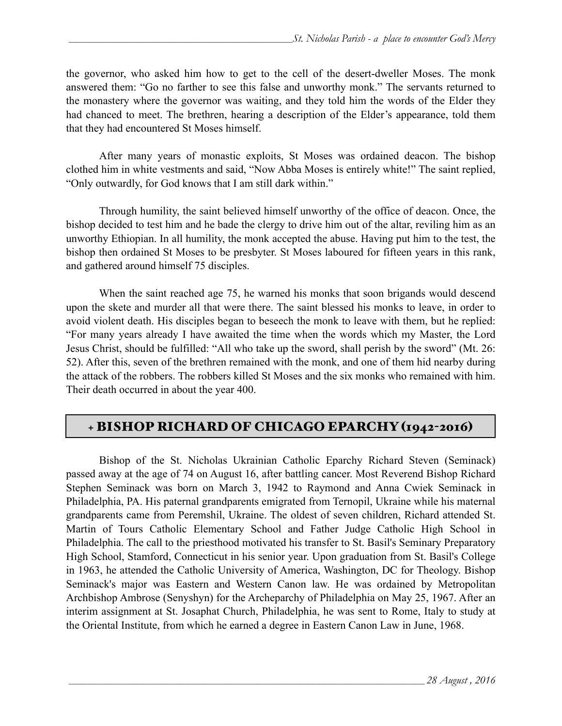the governor, who asked him how to get to the cell of the desert-dweller Moses. The monk answered them: "Go no farther to see this false and unworthy monk." The servants returned to the monastery where the governor was waiting, and they told him the words of the Elder they had chanced to meet. The brethren, hearing a description of the Elder's appearance, told them that they had encountered St Moses himself.

After many years of monastic exploits, St Moses was ordained deacon. The bishop clothed him in white vestments and said, "Now Abba Moses is entirely white!" The saint replied, "Only outwardly, for God knows that I am still dark within."

 Through humility, the saint believed himself unworthy of the office of deacon. Once, the bishop decided to test him and he bade the clergy to drive him out of the altar, reviling him as an unworthy Ethiopian. In all humility, the monk accepted the abuse. Having put him to the test, the bishop then ordained St Moses to be presbyter. St Moses laboured for fifteen years in this rank, and gathered around himself 75 disciples.

 When the saint reached age 75, he warned his monks that soon brigands would descend upon the skete and murder all that were there. The saint blessed his monks to leave, in order to avoid violent death. His disciples began to beseech the monk to leave with them, but he replied: "For many years already I have awaited the time when the words which my Master, the Lord Jesus Christ, should be fulfilled: "All who take up the sword, shall perish by the sword" (Mt. 26: 52). After this, seven of the brethren remained with the monk, and one of them hid nearby during the attack of the robbers. The robbers killed St Moses and the six monks who remained with him. Their death occurred in about the year 400.

# + BISHOP RICHARD OF CHICAGO EPARCHY (1942-2016)

 Bishop of the St. Nicholas Ukrainian Catholic Eparchy Richard Steven (Seminack) passed away at the age of 74 on August 16, after battling cancer. Most Reverend Bishop Richard Stephen Seminack was born on March 3, 1942 to Raymond and Anna Cwiek Seminack in Philadelphia, PA. His paternal grandparents emigrated from Ternopil, Ukraine while his maternal grandparents came from Peremshil, Ukraine. The oldest of seven children, Richard attended St. Martin of Tours Catholic Elementary School and Father Judge Catholic High School in Philadelphia. The call to the priesthood motivated his transfer to St. Basil's Seminary Preparatory High School, Stamford, Connecticut in his senior year. Upon graduation from St. Basil's College in 1963, he attended the Catholic University of America, Washington, DC for Theology. Bishop Seminack's major was Eastern and Western Canon law. He was ordained by Metropolitan Archbishop Ambrose (Senyshyn) for the Archeparchy of Philadelphia on May 25, 1967. After an interim assignment at St. Josaphat Church, Philadelphia, he was sent to Rome, Italy to study at the Oriental Institute, from which he earned a degree in Eastern Canon Law in June, 1968.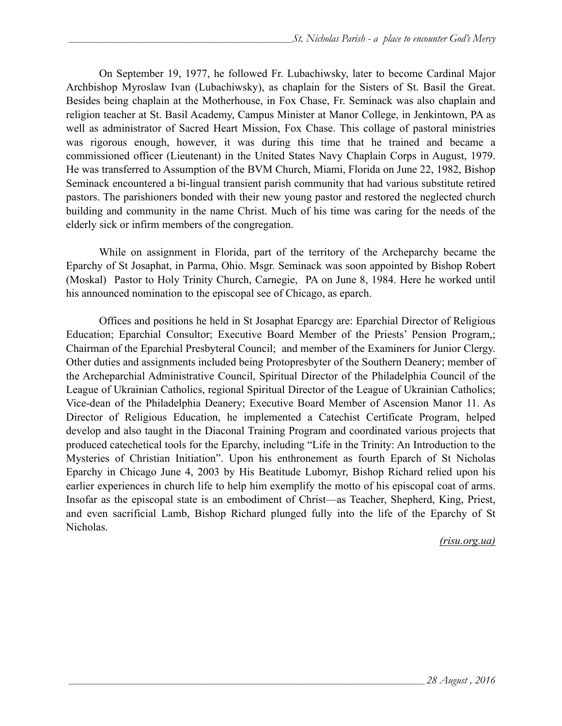On September 19, 1977, he followed Fr. Lubachiwsky, later to become Cardinal Major Archbishop Myroslaw Ivan (Lubachiwsky), as chaplain for the Sisters of St. Basil the Great. Besides being chaplain at the Motherhouse, in Fox Chase, Fr. Seminack was also chaplain and religion teacher at St. Basil Academy, Campus Minister at Manor College, in Jenkintown, PA as well as administrator of Sacred Heart Mission, Fox Chase. This collage of pastoral ministries was rigorous enough, however, it was during this time that he trained and became a commissioned officer (Lieutenant) in the United States Navy Chaplain Corps in August, 1979. He was transferred to Assumption of the BVM Church, Miami, Florida on June 22, 1982, Bishop Seminack encountered a bi-lingual transient parish community that had various substitute retired pastors. The parishioners bonded with their new young pastor and restored the neglected church building and community in the name Christ. Much of his time was caring for the needs of the elderly sick or infirm members of the congregation.

 While on assignment in Florida, part of the territory of the Archeparchy became the Eparchy of St Josaphat, in Parma, Ohio. Msgr. Seminack was soon appointed by Bishop Robert (Moskal) Pastor to Holy Trinity Church, Carnegie, PA on June 8, 1984. Here he worked until his announced nomination to the episcopal see of Chicago, as eparch.

 Offices and positions he held in St Josaphat Eparcgy are: Eparchial Director of Religious Education; Eparchial Consultor; Executive Board Member of the Priests' Pension Program,; Chairman of the Eparchial Presbyteral Council; and member of the Examiners for Junior Clergy. Other duties and assignments included being Protopresbyter of the Southern Deanery; member of the Archeparchial Administrative Council, Spiritual Director of the Philadelphia Council of the League of Ukrainian Catholics, regional Spiritual Director of the League of Ukrainian Catholics; Vice-dean of the Philadelphia Deanery; Executive Board Member of Ascension Manor 11. As Director of Religious Education, he implemented a Catechist Certificate Program, helped develop and also taught in the Diaconal Training Program and coordinated various projects that produced catechetical tools for the Eparchy, including "Life in the Trinity: An Introduction to the Mysteries of Christian Initiation". Upon his enthronement as fourth Eparch of St Nicholas Eparchy in Chicago June 4, 2003 by His Beatitude Lubomyr, Bishop Richard relied upon his earlier experiences in church life to help him exemplify the motto of his episcopal coat of arms. Insofar as the episcopal state is an embodiment of Christ—as Teacher, Shepherd, King, Priest, and even sacrificial Lamb, Bishop Richard plunged fully into the life of the Eparchy of St Nicholas.

*(risu.org.ua)*